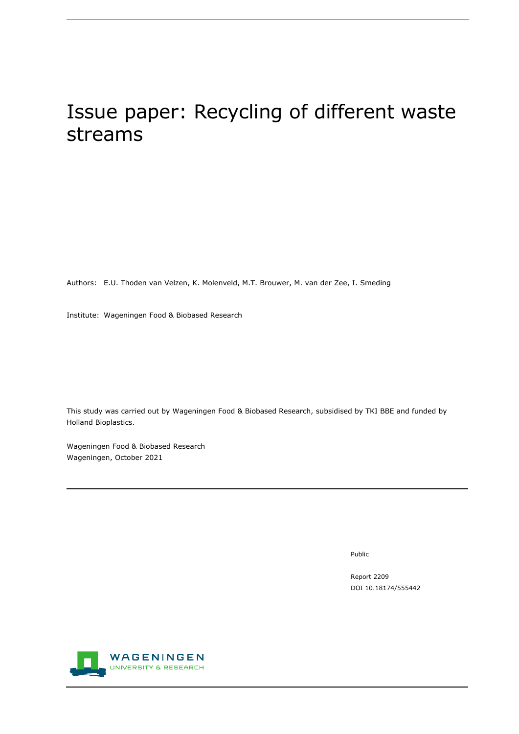# Issue paper: Recycling of different waste streams

Authors: E.U. Thoden van Velzen, K. Molenveld, M.T. Brouwer, M. van der Zee, I. Smeding

Institute: Wageningen Food & Biobased Research

This study was carried out by Wageningen Food & Biobased Research, subsidised by TKI BBE and funded by Holland Bioplastics.

Wageningen Food & Biobased Research Wageningen, October 2021

Public

Report 2209 DOI 10.18174/555442

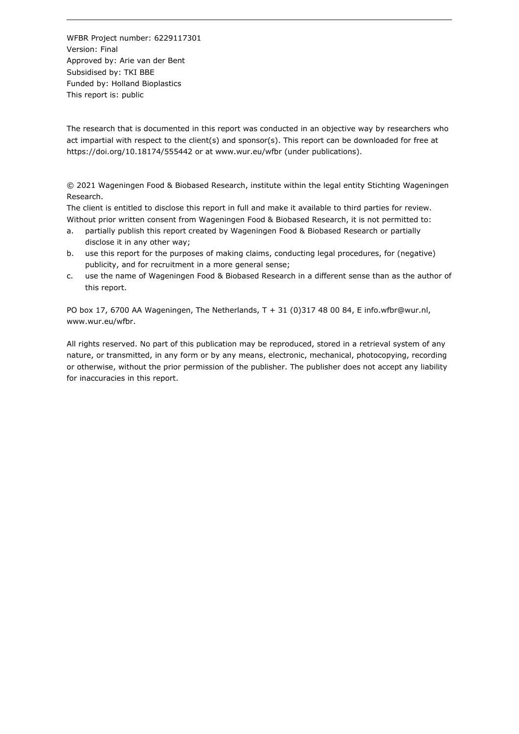WFBR Project number: 6229117301 Version: Final Approved by: Arie van der Bent Subsidised by: TKI BBE Funded by: Holland Bioplastics This report is: public

The research that is documented in this report was conducted in an objective way by researchers who act impartial with respect to the client(s) and sponsor(s). This report can be downloaded for free at https://doi.org/10.18174/555442 or at www.wur.eu/wfbr (under publications).

© 2021 Wageningen Food & Biobased Research, institute within the legal entity Stichting Wageningen Research.

The client is entitled to disclose this report in full and make it available to third parties for review. Without prior written consent from Wageningen Food & Biobased Research, it is not permitted to:

- a. partially publish this report created by Wageningen Food & Biobased Research or partially disclose it in any other way;
- b. use this report for the purposes of making claims, conducting legal procedures, for (negative) publicity, and for recruitment in a more general sense;
- c. use the name of Wageningen Food & Biobased Research in a different sense than as the author of this report.

PO box 17, 6700 AA Wageningen, The Netherlands, T + 31 (0)317 48 00 84, E info.wfbr@wur.nl, www.wur.eu/wfbr.

All rights reserved. No part of this publication may be reproduced, stored in a retrieval system of any nature, or transmitted, in any form or by any means, electronic, mechanical, photocopying, recording or otherwise, without the prior permission of the publisher. The publisher does not accept any liability for inaccuracies in this report.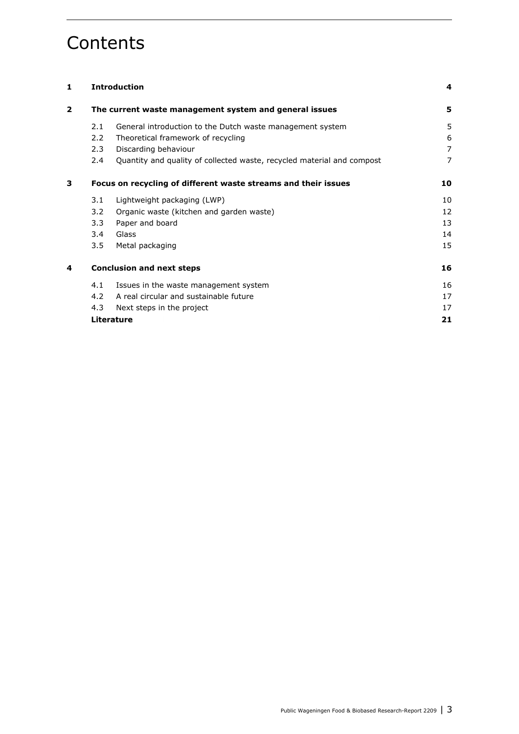## **Contents**

| 1              | <b>Introduction</b>                                    | 4                                                                      |                |
|----------------|--------------------------------------------------------|------------------------------------------------------------------------|----------------|
| $\overline{2}$ | The current waste management system and general issues |                                                                        |                |
|                | 2.1                                                    | General introduction to the Dutch waste management system              | 5              |
|                | 2.2                                                    | Theoretical framework of recycling                                     | 6              |
|                | 2.3                                                    | Discarding behaviour                                                   | $\overline{7}$ |
|                | $2.4^{\circ}$                                          | Quantity and quality of collected waste, recycled material and compost | $\overline{7}$ |
| 3              |                                                        | Focus on recycling of different waste streams and their issues         | 10             |
|                | 3.1                                                    | Lightweight packaging (LWP)                                            | 10             |
|                | 3.2                                                    | Organic waste (kitchen and garden waste)                               | 12             |
|                | 3.3                                                    | Paper and board                                                        | 13             |
|                | 3.4                                                    | Glass                                                                  | 14             |
|                | 3.5                                                    | Metal packaging                                                        | 15             |
| 4              | <b>Conclusion and next steps</b>                       |                                                                        |                |
|                | 4.1                                                    | Issues in the waste management system                                  | 16             |
|                | $4.2^{\circ}$                                          | A real circular and sustainable future                                 | 17             |
|                | 4.3                                                    | Next steps in the project                                              | 17             |
|                |                                                        | <b>Literature</b>                                                      | 21             |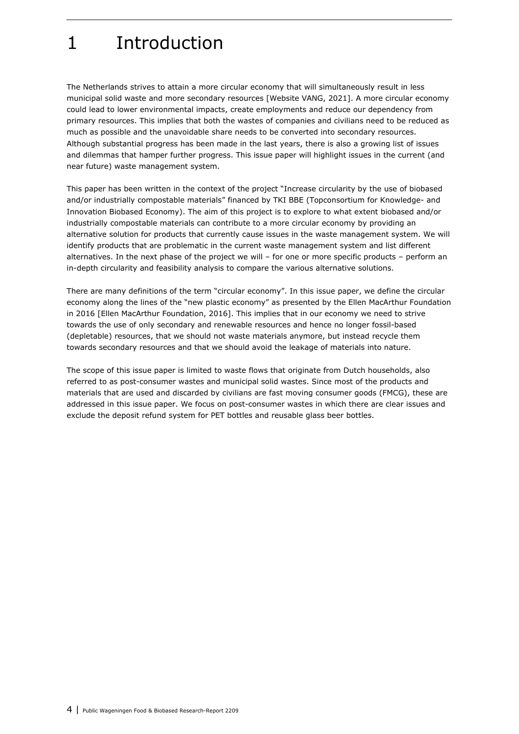# 1 Introduction

The Netherlands strives to attain a more circular economy that will simultaneously result in less municipal solid waste and more secondary resources [Website VANG, 2021]. A more circular economy could lead to lower environmental impacts, create employments and reduce our dependency from primary resources. This implies that both the wastes of companies and civilians need to be reduced as much as possible and the unavoidable share needs to be converted into secondary resources. Although substantial progress has been made in the last years, there is also a growing list of issues and dilemmas that hamper further progress. This issue paper will highlight issues in the current (and near future) waste management system.

This paper has been written in the context of the project "Increase circularity by the use of biobased and/or industrially compostable materials" financed by TKI BBE (Topconsortium for Knowledge- and Innovation Biobased Economy). The aim of this project is to explore to what extent biobased and/or industrially compostable materials can contribute to a more circular economy by providing an alternative solution for products that currently cause issues in the waste management system. We will identify products that are problematic in the current waste management system and list different alternatives. In the next phase of the project we will – for one or more specific products – perform an in-depth circularity and feasibility analysis to compare the various alternative solutions.

There are many definitions of the term "circular economy". In this issue paper, we define the circular economy along the lines of the "new plastic economy" as presented by the Ellen MacArthur Foundation in 2016 [Ellen MacArthur Foundation, 2016]. This implies that in our economy we need to strive towards the use of only secondary and renewable resources and hence no longer fossil-based (depletable) resources, that we should not waste materials anymore, but instead recycle them towards secondary resources and that we should avoid the leakage of materials into nature.

The scope of this issue paper is limited to waste flows that originate from Dutch households, also referred to as post-consumer wastes and municipal solid wastes. Since most of the products and materials that are used and discarded by civilians are fast moving consumer goods (FMCG), these are addressed in this issue paper. We focus on post-consumer wastes in which there are clear issues and exclude the deposit refund system for PET bottles and reusable glass beer bottles.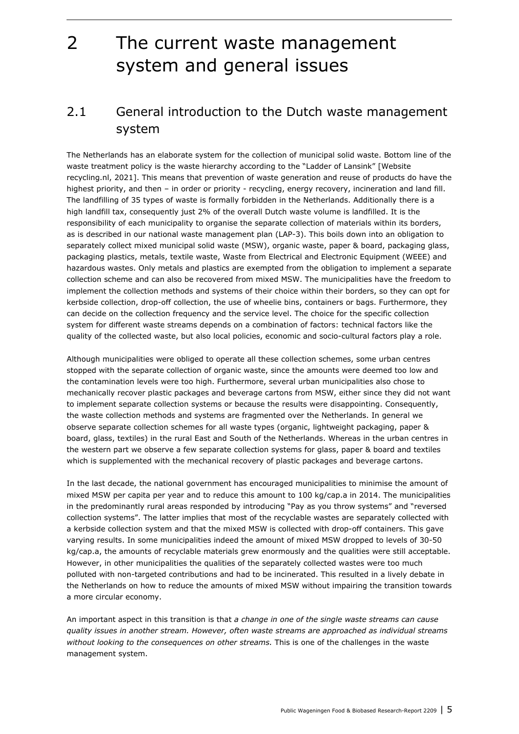## 2 The current waste management system and general issues

### 2.1 General introduction to the Dutch waste management system

The Netherlands has an elaborate system for the collection of municipal solid waste. Bottom line of the waste treatment policy is the waste hierarchy according to the "Ladder of Lansink" [Website recycling.nl, 2021]. This means that prevention of waste generation and reuse of products do have the highest priority, and then – in order or priority - recycling, energy recovery, incineration and land fill. The landfilling of 35 types of waste is formally forbidden in the Netherlands. Additionally there is a high landfill tax, consequently just 2% of the overall Dutch waste volume is landfilled. It is the responsibility of each municipality to organise the separate collection of materials within its borders, as is described in our national waste management plan (LAP-3). This boils down into an obligation to separately collect mixed municipal solid waste (MSW), organic waste, paper & board, packaging glass, packaging plastics, metals, textile waste, Waste from Electrical and Electronic Equipment (WEEE) and hazardous wastes. Only metals and plastics are exempted from the obligation to implement a separate collection scheme and can also be recovered from mixed MSW. The municipalities have the freedom to implement the collection methods and systems of their choice within their borders, so they can opt for kerbside collection, drop-off collection, the use of wheelie bins, containers or bags. Furthermore, they can decide on the collection frequency and the service level. The choice for the specific collection system for different waste streams depends on a combination of factors: technical factors like the quality of the collected waste, but also local policies, economic and socio-cultural factors play a role.

Although municipalities were obliged to operate all these collection schemes, some urban centres stopped with the separate collection of organic waste, since the amounts were deemed too low and the contamination levels were too high. Furthermore, several urban municipalities also chose to mechanically recover plastic packages and beverage cartons from MSW, either since they did not want to implement separate collection systems or because the results were disappointing. Consequently, the waste collection methods and systems are fragmented over the Netherlands. In general we observe separate collection schemes for all waste types (organic, lightweight packaging, paper & board, glass, textiles) in the rural East and South of the Netherlands. Whereas in the urban centres in the western part we observe a few separate collection systems for glass, paper & board and textiles which is supplemented with the mechanical recovery of plastic packages and beverage cartons.

In the last decade, the national government has encouraged municipalities to minimise the amount of mixed MSW per capita per year and to reduce this amount to 100 kg/cap.a in 2014. The municipalities in the predominantly rural areas responded by introducing "Pay as you throw systems" and "reversed collection systems". The latter implies that most of the recyclable wastes are separately collected with a kerbside collection system and that the mixed MSW is collected with drop-off containers. This gave varying results. In some municipalities indeed the amount of mixed MSW dropped to levels of 30-50 kg/cap.a, the amounts of recyclable materials grew enormously and the qualities were still acceptable. However, in other municipalities the qualities of the separately collected wastes were too much polluted with non-targeted contributions and had to be incinerated. This resulted in a lively debate in the Netherlands on how to reduce the amounts of mixed MSW without impairing the transition towards a more circular economy.

An important aspect in this transition is that *a change in one of the single waste streams can cause quality issues in another stream. However, often waste streams are approached as individual streams without looking to the consequences on other streams.* This is one of the challenges in the waste management system.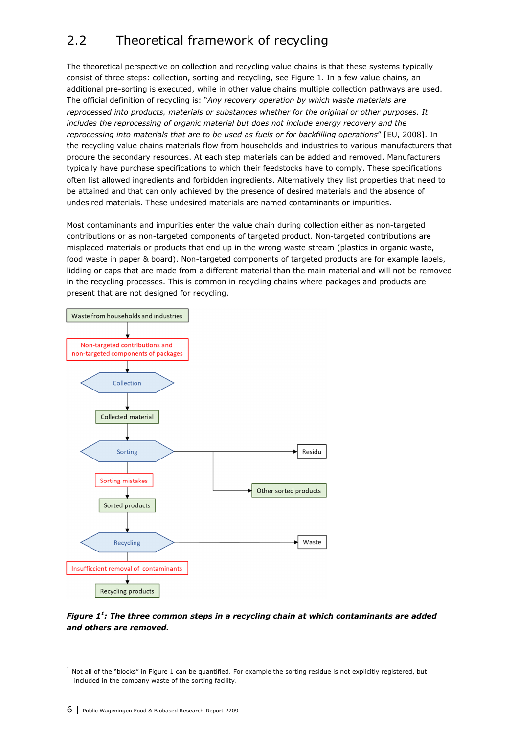### 2.2 Theoretical framework of recycling

The theoretical perspective on collection and recycling value chains is that these systems typically consist of three steps: collection, sorting and recycling, see Figure 1. In a few value chains, an additional pre-sorting is executed, while in other value chains multiple collection pathways are used. The official definition of recycling is: "*Any recovery operation by which waste materials are reprocessed into products, materials or substances whether for the original or other purposes. It includes the reprocessing of organic material but does not include energy recovery and the reprocessing into materials that are to be used as fuels or for backfilling operations*" [EU, 2008]. In the recycling value chains materials flow from households and industries to various manufacturers that procure the secondary resources. At each step materials can be added and removed. Manufacturers typically have purchase specifications to which their feedstocks have to comply. These specifications often list allowed ingredients and forbidden ingredients. Alternatively they list properties that need to be attained and that can only achieved by the presence of desired materials and the absence of undesired materials. These undesired materials are named contaminants or impurities.

Most contaminants and impurities enter the value chain during collection either as non-targeted contributions or as non-targeted components of targeted product. Non-targeted contributions are misplaced materials or products that end up in the wrong waste stream (plastics in organic waste, food waste in paper & board). Non-targeted components of targeted products are for example labels, lidding or caps that are made from a different material than the main material and will not be removed in the recycling processes. This is common in recycling chains where packages and products are present that are not designed for recycling.



#### *Figure 11 : The three common steps in a recycling chain at which contaminants are added and others are removed.*

 $<sup>1</sup>$  Not all of the "blocks" in Figure 1 can be quantified. For example the sorting residue is not explicitly registered, but</sup> included in the company waste of the sorting facility.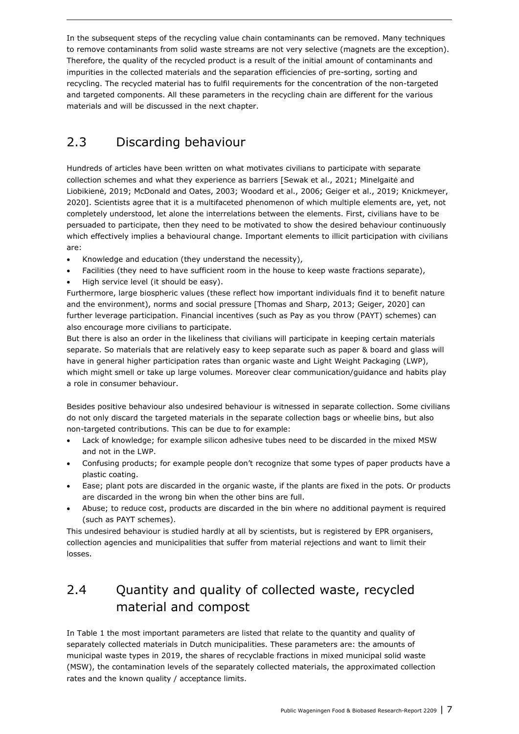In the subsequent steps of the recycling value chain contaminants can be removed. Many techniques to remove contaminants from solid waste streams are not very selective (magnets are the exception). Therefore, the quality of the recycled product is a result of the initial amount of contaminants and impurities in the collected materials and the separation efficiencies of pre-sorting, sorting and recycling. The recycled material has to fulfil requirements for the concentration of the non-targeted and targeted components. All these parameters in the recycling chain are different for the various materials and will be discussed in the next chapter.

### 2.3 Discarding behaviour

Hundreds of articles have been written on what motivates civilians to participate with separate collection schemes and what they experience as barriers [Sewak et al., 2021; Minelgaitė and Liobikienė, 2019; McDonald and Oates, 2003; Woodard et al., 2006; Geiger et al., 2019; Knickmeyer, 2020]. Scientists agree that it is a multifaceted phenomenon of which multiple elements are, yet, not completely understood, let alone the interrelations between the elements. First, civilians have to be persuaded to participate, then they need to be motivated to show the desired behaviour continuously which effectively implies a behavioural change. Important elements to illicit participation with civilians are:

- Knowledge and education (they understand the necessity),
- Facilities (they need to have sufficient room in the house to keep waste fractions separate),
- High service level (it should be easy).

Furthermore, large biospheric values (these reflect how important individuals find it to benefit nature and the environment), norms and social pressure [Thomas and Sharp, 2013; Geiger, 2020] can further leverage participation. Financial incentives (such as Pay as you throw (PAYT) schemes) can also encourage more civilians to participate.

But there is also an order in the likeliness that civilians will participate in keeping certain materials separate. So materials that are relatively easy to keep separate such as paper & board and glass will have in general higher participation rates than organic waste and Light Weight Packaging (LWP), which might smell or take up large volumes. Moreover clear communication/guidance and habits play a role in consumer behaviour.

Besides positive behaviour also undesired behaviour is witnessed in separate collection. Some civilians do not only discard the targeted materials in the separate collection bags or wheelie bins, but also non-targeted contributions. This can be due to for example:

- Lack of knowledge; for example silicon adhesive tubes need to be discarded in the mixed MSW and not in the LWP.
- Confusing products; for example people don't recognize that some types of paper products have a plastic coating.
- Ease; plant pots are discarded in the organic waste, if the plants are fixed in the pots. Or products are discarded in the wrong bin when the other bins are full.
- Abuse; to reduce cost, products are discarded in the bin where no additional payment is required (such as PAYT schemes).

This undesired behaviour is studied hardly at all by scientists, but is registered by EPR organisers, collection agencies and municipalities that suffer from material rejections and want to limit their losses.

### 2.4 Quantity and quality of collected waste, recycled material and compost

In Table 1 the most important parameters are listed that relate to the quantity and quality of separately collected materials in Dutch municipalities. These parameters are: the amounts of municipal waste types in 2019, the shares of recyclable fractions in mixed municipal solid waste (MSW), the contamination levels of the separately collected materials, the approximated collection rates and the known quality / acceptance limits.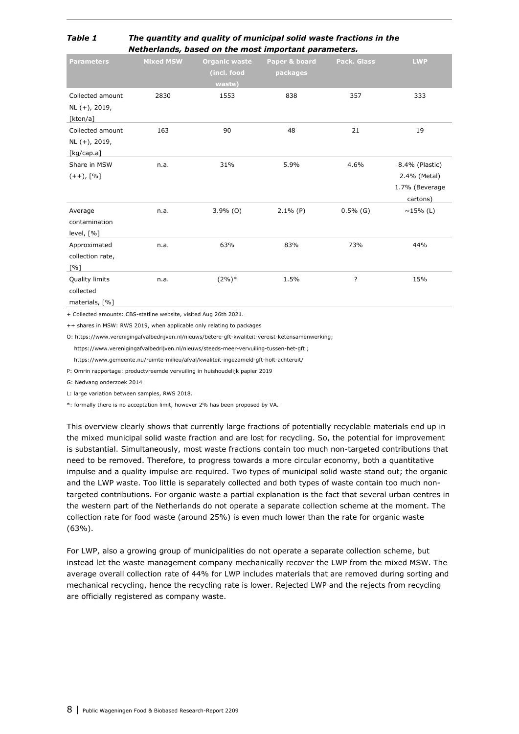#### *Table 1 The quantity and quality of municipal solid waste fractions in the Netherlands, based on the most important parameters.*

| <b>Parameters</b>                                      | <b>Mixed MSW</b> | <b>Organic waste</b><br>(incl. food<br>waste) | Paper & board<br>packages | Pack. Glass | <b>LWP</b>                                                   |
|--------------------------------------------------------|------------------|-----------------------------------------------|---------------------------|-------------|--------------------------------------------------------------|
| Collected amount<br>NL (+), 2019,<br>[kton/a]          | 2830             | 1553                                          | 838                       | 357         | 333                                                          |
| Collected amount<br>NL (+), 2019,<br>[kg/cap.a]        | 163              | 90                                            | 48                        | 21          | 19                                                           |
| Share in MSW<br>$(++)$ , [%]                           | n.a.             | 31%                                           | 5.9%                      | 4.6%        | 8.4% (Plastic)<br>2.4% (Metal)<br>1.7% (Beverage<br>cartons) |
| Average<br>contamination<br>level, [%]                 | n.a.             | $3.9\%$ (O)                                   | $2.1\%$ (P)               | $0.5\%$ (G) | $~15\%$ (L)                                                  |
| Approximated<br>collection rate,<br>$\lceil \% \rceil$ | n.a.             | 63%                                           | 83%                       | 73%         | 44%                                                          |
| Quality limits<br>collected<br>materials, [%]          | n.a.             | $(2\%)*$                                      | 1.5%                      | ?           | 15%                                                          |

+ Collected amounts: CBS-statline website, visited Aug 26th 2021.

++ shares in MSW: RWS 2019, when applicable only relating to packages

O: https://www.verenigingafvalbedrijven.nl/nieuws/betere-gft-kwaliteit-vereist-ketensamenwerking;

https://www.verenigingafvalbedrijven.nl/nieuws/steeds-meer-vervuiling-tussen-het-gft ;

https://www.gemeente.nu/ruimte-milieu/afval/kwaliteit-ingezameld-gft-holt-achteruit/

P: Omrin rapportage: productvreemde vervuiling in huishoudelijk papier 2019

G: Nedvang onderzoek 2014

L: large variation between samples, RWS 2018.

\*: formally there is no acceptation limit, however 2% has been proposed by VA.

This overview clearly shows that currently large fractions of potentially recyclable materials end up in the mixed municipal solid waste fraction and are lost for recycling. So, the potential for improvement is substantial. Simultaneously, most waste fractions contain too much non-targeted contributions that need to be removed. Therefore, to progress towards a more circular economy, both a quantitative impulse and a quality impulse are required. Two types of municipal solid waste stand out; the organic and the LWP waste. Too little is separately collected and both types of waste contain too much nontargeted contributions. For organic waste a partial explanation is the fact that several urban centres in the western part of the Netherlands do not operate a separate collection scheme at the moment. The collection rate for food waste (around 25%) is even much lower than the rate for organic waste (63%).

For LWP, also a growing group of municipalities do not operate a separate collection scheme, but instead let the waste management company mechanically recover the LWP from the mixed MSW. The average overall collection rate of 44% for LWP includes materials that are removed during sorting and mechanical recycling, hence the recycling rate is lower. Rejected LWP and the rejects from recycling are officially registered as company waste.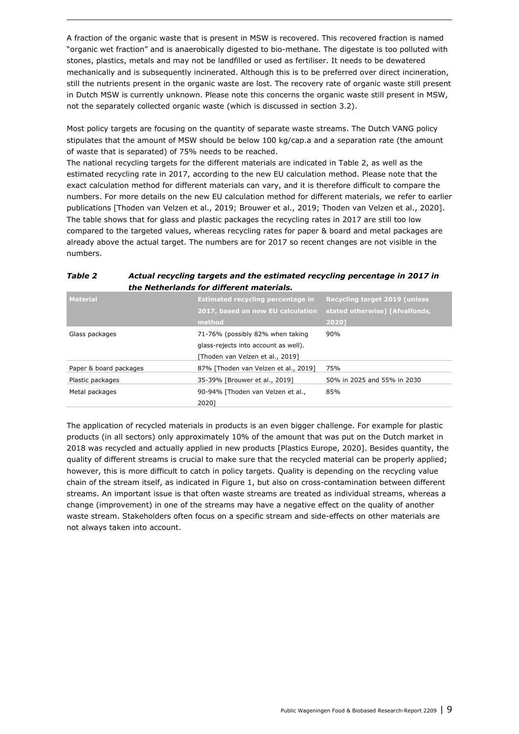A fraction of the organic waste that is present in MSW is recovered. This recovered fraction is named "organic wet fraction" and is anaerobically digested to bio-methane. The digestate is too polluted with stones, plastics, metals and may not be landfilled or used as fertiliser. It needs to be dewatered mechanically and is subsequently incinerated. Although this is to be preferred over direct incineration, still the nutrients present in the organic waste are lost. The recovery rate of organic waste still present in Dutch MSW is currently unknown. Please note this concerns the organic waste still present in MSW, not the separately collected organic waste (which is discussed in section 3.2).

Most policy targets are focusing on the quantity of separate waste streams. The Dutch VANG policy stipulates that the amount of MSW should be below 100 kg/cap.a and a separation rate (the amount of waste that is separated) of 75% needs to be reached.

The national recycling targets for the different materials are indicated in Table 2, as well as the estimated recycling rate in 2017, according to the new EU calculation method. Please note that the exact calculation method for different materials can vary, and it is therefore difficult to compare the numbers. For more details on the new EU calculation method for different materials, we refer to earlier publications [Thoden van Velzen et al., 2019; Brouwer et al., 2019; Thoden van Velzen et al., 2020]. The table shows that for glass and plastic packages the recycling rates in 2017 are still too low compared to the targeted values, whereas recycling rates for paper & board and metal packages are already above the actual target. The numbers are for 2017 so recent changes are not visible in the numbers.

| <b>Estimated recycling percentage in</b><br>2017, based on new EU calculation<br>method                      | <b>Recycling target 2019 (unless</b><br>stated otherwise) [Afvalfonds,<br>20201 |
|--------------------------------------------------------------------------------------------------------------|---------------------------------------------------------------------------------|
| 71-76% (possibly 82% when taking<br>glass-rejects into account as well).<br>[Thoden van Velzen et al., 2019] | 90%                                                                             |
| 87% [Thoden van Velzen et al., 2019]                                                                         | 75%                                                                             |
| 35-39% [Brouwer et al., 2019]                                                                                | 50% in 2025 and 55% in 2030                                                     |
| 90-94% [Thoden van Velzen et al.,<br>2020]                                                                   | 85%                                                                             |
|                                                                                                              |                                                                                 |

#### *Table 2 Actual recycling targets and the estimated recycling percentage in 2017 in the Netherlands for different materials.*

The application of recycled materials in products is an even bigger challenge. For example for plastic products (in all sectors) only approximately 10% of the amount that was put on the Dutch market in 2018 was recycled and actually applied in new products [Plastics Europe, 2020]. Besides quantity, the quality of different streams is crucial to make sure that the recycled material can be properly applied; however, this is more difficult to catch in policy targets. Quality is depending on the recycling value chain of the stream itself, as indicated in Figure 1, but also on cross-contamination between different streams. An important issue is that often waste streams are treated as individual streams, whereas a change (improvement) in one of the streams may have a negative effect on the quality of another waste stream. Stakeholders often focus on a specific stream and side-effects on other materials are not always taken into account.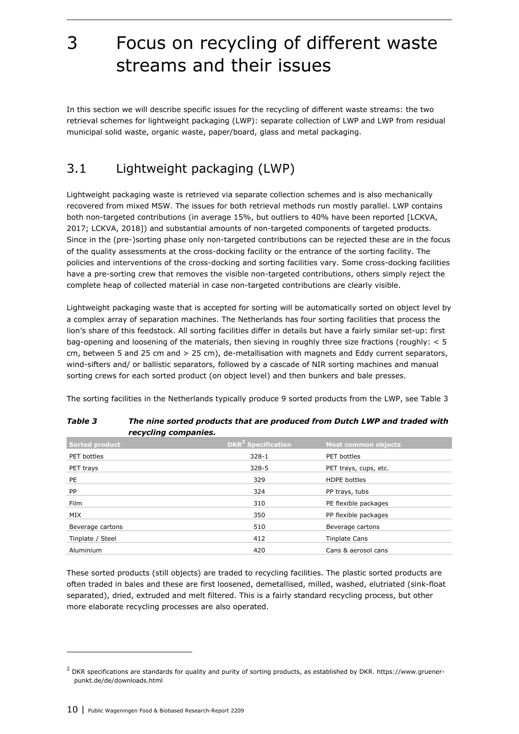# 3 Focus on recycling of different waste streams and their issues

In this section we will describe specific issues for the recycling of different waste streams: the two retrieval schemes for lightweight packaging (LWP): separate collection of LWP and LWP from residual municipal solid waste, organic waste, paper/board, glass and metal packaging.

### 3.1 Lightweight packaging (LWP)

Lightweight packaging waste is retrieved via separate collection schemes and is also mechanically recovered from mixed MSW. The issues for both retrieval methods run mostly parallel. LWP contains both non-targeted contributions (in average 15%, but outliers to 40% have been reported [LCKVA, 2017; LCKVA, 2018]) and substantial amounts of non-targeted components of targeted products. Since in the (pre-)sorting phase only non-targeted contributions can be rejected these are in the focus of the quality assessments at the cross-docking facility or the entrance of the sorting facility. The policies and interventions of the cross-docking and sorting facilities vary. Some cross-docking facilities have a pre-sorting crew that removes the visible non-targeted contributions, others simply reject the complete heap of collected material in case non-targeted contributions are clearly visible.

Lightweight packaging waste that is accepted for sorting will be automatically sorted on object level by a complex array of separation machines. The Netherlands has four sorting facilities that process the lion's share of this feedstock. All sorting facilities differ in details but have a fairly similar set-up: first bag-opening and loosening of the materials, then sieving in roughly three size fractions (roughly: < 5 cm, between 5 and 25 cm and > 25 cm), de-metallisation with magnets and Eddy current separators, wind-sifters and/ or ballistic separators, followed by a cascade of NIR sorting machines and manual sorting crews for each sorted product (on object level) and then bunkers and bale presses.

The sorting facilities in the Netherlands typically produce 9 sorted products from the LWP, see Table 3

| recycling companies.  |                                      |                            |
|-----------------------|--------------------------------------|----------------------------|
| <b>Sorted product</b> | <b>DKR<sup>2</sup></b> Specification | <b>Most common objects</b> |
| PET bottles           | $328 - 1$                            | PET bottles                |
| PET trays             | $328 - 5$                            | PET trays, cups, etc.      |
| PE                    | 329                                  | <b>HDPE</b> bottles        |
| <b>PP</b>             | 324                                  | PP trays, tubs             |
| Film                  | 310                                  | PE flexible packages       |
| MIX                   | 350                                  | PP flexible packages       |
| Beverage cartons      | 510                                  | Beverage cartons           |
| Tinplate / Steel      | 412                                  | <b>Tinplate Cans</b>       |
| Aluminium             | 420                                  | Cans & aerosol cans        |

| <b>Table 3</b> | The nine sorted products that are produced from Dutch LWP and traded with |
|----------------|---------------------------------------------------------------------------|
|                | recycling companies.                                                      |

These sorted products (still objects) are traded to recycling facilities. The plastic sorted products are often traded in bales and these are first loosened, demetallised, milled, washed, elutriated (sink-float separated), dried, extruded and melt filtered. This is a fairly standard recycling process, but other more elaborate recycling processes are also operated.

 $^2$  DKR specifications are standards for quality and purity of sorting products, as established by DKR. https://www.gruenerpunkt.de/de/downloads.html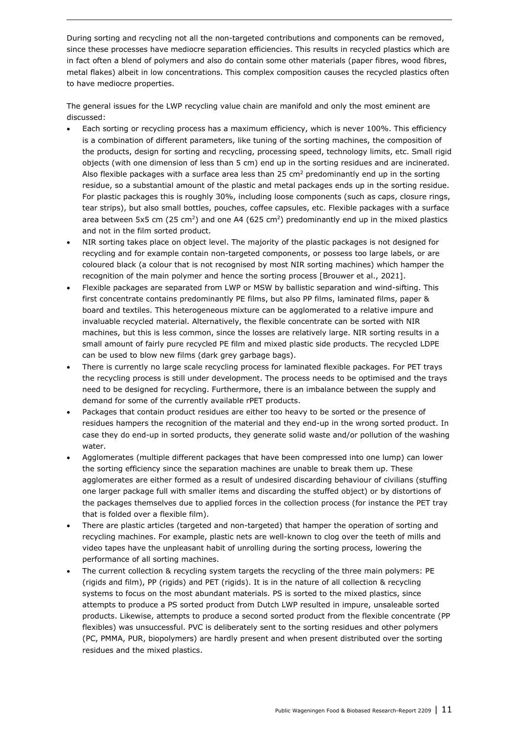During sorting and recycling not all the non-targeted contributions and components can be removed, since these processes have mediocre separation efficiencies. This results in recycled plastics which are in fact often a blend of polymers and also do contain some other materials (paper fibres, wood fibres, metal flakes) albeit in low concentrations. This complex composition causes the recycled plastics often to have mediocre properties.

The general issues for the LWP recycling value chain are manifold and only the most eminent are discussed:

- Each sorting or recycling process has a maximum efficiency, which is never 100%. This efficiency is a combination of different parameters, like tuning of the sorting machines, the composition of the products, design for sorting and recycling, processing speed, technology limits, etc. Small rigid objects (with one dimension of less than 5 cm) end up in the sorting residues and are incinerated. Also flexible packages with a surface area less than 25  $cm<sup>2</sup>$  predominantly end up in the sorting residue, so a substantial amount of the plastic and metal packages ends up in the sorting residue. For plastic packages this is roughly 30%, including loose components (such as caps, closure rings, tear strips), but also small bottles, pouches, coffee capsules, etc. Flexible packages with a surface area between 5x5 cm (25 cm<sup>2</sup>) and one A4 (625 cm<sup>2</sup>) predominantly end up in the mixed plastics and not in the film sorted product.
- NIR sorting takes place on object level. The majority of the plastic packages is not designed for recycling and for example contain non-targeted components, or possess too large labels, or are coloured black (a colour that is not recognised by most NIR sorting machines) which hamper the recognition of the main polymer and hence the sorting process [Brouwer et al., 2021].
- Flexible packages are separated from LWP or MSW by ballistic separation and wind-sifting. This first concentrate contains predominantly PE films, but also PP films, laminated films, paper & board and textiles. This heterogeneous mixture can be agglomerated to a relative impure and invaluable recycled material. Alternatively, the flexible concentrate can be sorted with NIR machines, but this is less common, since the losses are relatively large. NIR sorting results in a small amount of fairly pure recycled PE film and mixed plastic side products. The recycled LDPE can be used to blow new films (dark grey garbage bags).
- There is currently no large scale recycling process for laminated flexible packages. For PET trays the recycling process is still under development. The process needs to be optimised and the trays need to be designed for recycling. Furthermore, there is an imbalance between the supply and demand for some of the currently available rPET products.
- Packages that contain product residues are either too heavy to be sorted or the presence of residues hampers the recognition of the material and they end-up in the wrong sorted product. In case they do end-up in sorted products, they generate solid waste and/or pollution of the washing water.
- Agglomerates (multiple different packages that have been compressed into one lump) can lower the sorting efficiency since the separation machines are unable to break them up. These agglomerates are either formed as a result of undesired discarding behaviour of civilians (stuffing one larger package full with smaller items and discarding the stuffed object) or by distortions of the packages themselves due to applied forces in the collection process (for instance the PET tray that is folded over a flexible film).
- There are plastic articles (targeted and non-targeted) that hamper the operation of sorting and recycling machines. For example, plastic nets are well-known to clog over the teeth of mills and video tapes have the unpleasant habit of unrolling during the sorting process, lowering the performance of all sorting machines.
- The current collection & recycling system targets the recycling of the three main polymers: PE (rigids and film), PP (rigids) and PET (rigids). It is in the nature of all collection & recycling systems to focus on the most abundant materials. PS is sorted to the mixed plastics, since attempts to produce a PS sorted product from Dutch LWP resulted in impure, unsaleable sorted products. Likewise, attempts to produce a second sorted product from the flexible concentrate (PP flexibles) was unsuccessful. PVC is deliberately sent to the sorting residues and other polymers (PC, PMMA, PUR, biopolymers) are hardly present and when present distributed over the sorting residues and the mixed plastics.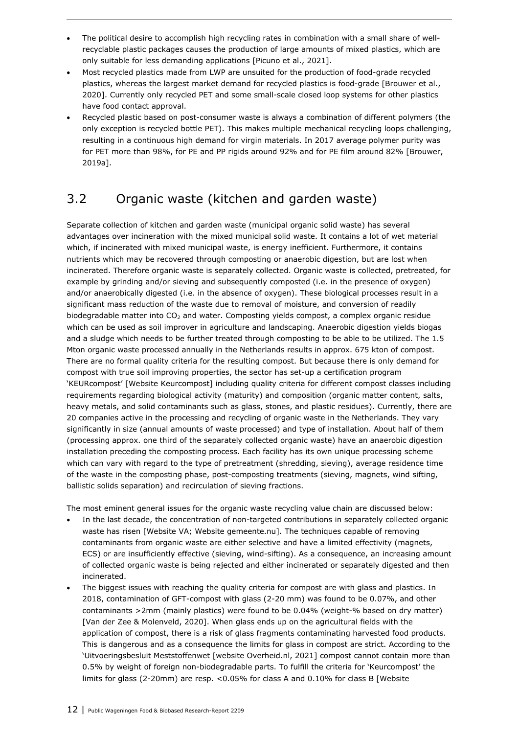- The political desire to accomplish high recycling rates in combination with a small share of wellrecyclable plastic packages causes the production of large amounts of mixed plastics, which are only suitable for less demanding applications [Picuno et al., 2021].
- Most recycled plastics made from LWP are unsuited for the production of food-grade recycled plastics, whereas the largest market demand for recycled plastics is food-grade [Brouwer et al., 2020]. Currently only recycled PET and some small-scale closed loop systems for other plastics have food contact approval.
- Recycled plastic based on post-consumer waste is always a combination of different polymers (the only exception is recycled bottle PET). This makes multiple mechanical recycling loops challenging, resulting in a continuous high demand for virgin materials. In 2017 average polymer purity was for PET more than 98%, for PE and PP rigids around 92% and for PE film around 82% [Brouwer, 2019a].

### 3.2 Organic waste (kitchen and garden waste)

Separate collection of kitchen and garden waste (municipal organic solid waste) has several advantages over incineration with the mixed municipal solid waste. It contains a lot of wet material which, if incinerated with mixed municipal waste, is energy inefficient. Furthermore, it contains nutrients which may be recovered through composting or anaerobic digestion, but are lost when incinerated. Therefore organic waste is separately collected. Organic waste is collected, pretreated, for example by grinding and/or sieving and subsequently composted (i.e. in the presence of oxygen) and/or anaerobically digested (i.e. in the absence of oxygen). These biological processes result in a significant mass reduction of the waste due to removal of moisture, and conversion of readily biodegradable matter into  $CO<sub>2</sub>$  and water. Composting yields compost, a complex organic residue which can be used as soil improver in agriculture and landscaping. Anaerobic digestion yields biogas and a sludge which needs to be further treated through composting to be able to be utilized. The 1.5 Mton organic waste processed annually in the Netherlands results in approx. 675 kton of compost. There are no formal quality criteria for the resulting compost. But because there is only demand for compost with true soil improving properties, the sector has set-up a certification program 'KEURcompost' [Website Keurcompost] including quality criteria for different compost classes including requirements regarding biological activity (maturity) and composition (organic matter content, salts, heavy metals, and solid contaminants such as glass, stones, and plastic residues). Currently, there are 20 companies active in the processing and recycling of organic waste in the Netherlands. They vary significantly in size (annual amounts of waste processed) and type of installation. About half of them (processing approx. one third of the separately collected organic waste) have an anaerobic digestion installation preceding the composting process. Each facility has its own unique processing scheme which can vary with regard to the type of pretreatment (shredding, sieving), average residence time of the waste in the composting phase, post-composting treatments (sieving, magnets, wind sifting, ballistic solids separation) and recirculation of sieving fractions.

The most eminent general issues for the organic waste recycling value chain are discussed below:

- In the last decade, the concentration of non-targeted contributions in separately collected organic waste has risen [Website VA; Website gemeente.nu]. The techniques capable of removing contaminants from organic waste are either selective and have a limited effectivity (magnets, ECS) or are insufficiently effective (sieving, wind-sifting). As a consequence, an increasing amount of collected organic waste is being rejected and either incinerated or separately digested and then incinerated.
- The biggest issues with reaching the quality criteria for compost are with glass and plastics. In 2018, contamination of GFT-compost with glass (2-20 mm) was found to be 0.07%, and other contaminants >2mm (mainly plastics) were found to be 0.04% (weight-% based on dry matter) [Van der Zee & Molenveld, 2020]. When glass ends up on the agricultural fields with the application of compost, there is a risk of glass fragments contaminating harvested food products. This is dangerous and as a consequence the limits for glass in compost are strict. According to the 'Uitvoeringsbesluit Meststoffenwet [website Overheid.nl, 2021] compost cannot contain more than 0.5% by weight of foreign non-biodegradable parts. To fulfill the criteria for 'Keurcompost' the limits for glass (2-20mm) are resp. <0.05% for class A and 0.10% for class B [Website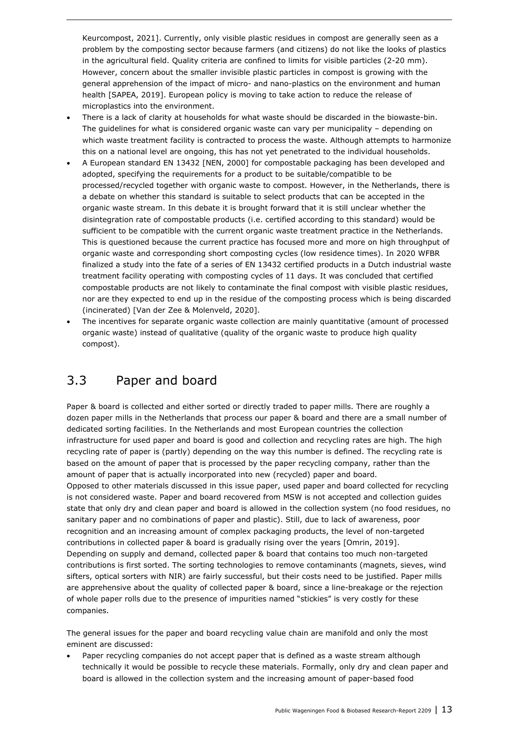Keurcompost, 2021]. Currently, only visible plastic residues in compost are generally seen as a problem by the composting sector because farmers (and citizens) do not like the looks of plastics in the agricultural field. Quality criteria are confined to limits for visible particles (2-20 mm). However, concern about the smaller invisible plastic particles in compost is growing with the general apprehension of the impact of micro- and nano-plastics on the environment and human health [SAPEA, 2019]. European policy is moving to take action to reduce the release of microplastics into the environment.

- There is a lack of clarity at households for what waste should be discarded in the biowaste-bin. The guidelines for what is considered organic waste can vary per municipality – depending on which waste treatment facility is contracted to process the waste. Although attempts to harmonize this on a national level are ongoing, this has not yet penetrated to the individual households.
- A European standard EN 13432 [NEN, 2000] for compostable packaging has been developed and adopted, specifying the requirements for a product to be suitable/compatible to be processed/recycled together with organic waste to compost. However, in the Netherlands, there is a debate on whether this standard is suitable to select products that can be accepted in the organic waste stream. In this debate it is brought forward that it is still unclear whether the disintegration rate of compostable products (i.e. certified according to this standard) would be sufficient to be compatible with the current organic waste treatment practice in the Netherlands. This is questioned because the current practice has focused more and more on high throughput of organic waste and corresponding short composting cycles (low residence times). In 2020 WFBR finalized a study into the fate of a series of EN 13432 certified products in a Dutch industrial waste treatment facility operating with composting cycles of 11 days. It was concluded that certified compostable products are not likely to contaminate the final compost with visible plastic residues, nor are they expected to end up in the residue of the composting process which is being discarded (incinerated) [Van der Zee & Molenveld, 2020].
- The incentives for separate organic waste collection are mainly quantitative (amount of processed organic waste) instead of qualitative (quality of the organic waste to produce high quality compost).

### 3.3 Paper and board

Paper & board is collected and either sorted or directly traded to paper mills. There are roughly a dozen paper mills in the Netherlands that process our paper & board and there are a small number of dedicated sorting facilities. In the Netherlands and most European countries the collection infrastructure for used paper and board is good and collection and recycling rates are high. The high recycling rate of paper is (partly) depending on the way this number is defined. The recycling rate is based on the amount of paper that is processed by the paper recycling company, rather than the amount of paper that is actually incorporated into new (recycled) paper and board. Opposed to other materials discussed in this issue paper, used paper and board collected for recycling is not considered waste. Paper and board recovered from MSW is not accepted and collection guides state that only dry and clean paper and board is allowed in the collection system (no food residues, no sanitary paper and no combinations of paper and plastic). Still, due to lack of awareness, poor recognition and an increasing amount of complex packaging products, the level of non-targeted contributions in collected paper & board is gradually rising over the years [Omrin, 2019]. Depending on supply and demand, collected paper & board that contains too much non-targeted contributions is first sorted. The sorting technologies to remove contaminants (magnets, sieves, wind sifters, optical sorters with NIR) are fairly successful, but their costs need to be justified. Paper mills are apprehensive about the quality of collected paper & board, since a line-breakage or the rejection of whole paper rolls due to the presence of impurities named "stickies" is very costly for these companies.

The general issues for the paper and board recycling value chain are manifold and only the most eminent are discussed:

 Paper recycling companies do not accept paper that is defined as a waste stream although technically it would be possible to recycle these materials. Formally, only dry and clean paper and board is allowed in the collection system and the increasing amount of paper-based food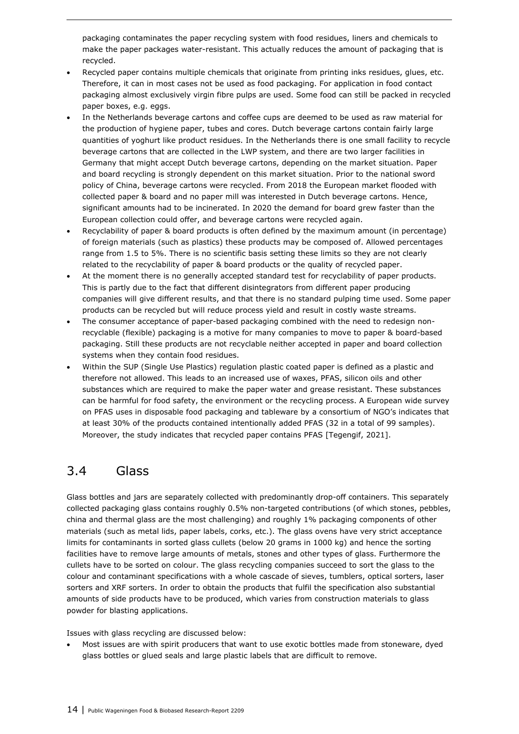packaging contaminates the paper recycling system with food residues, liners and chemicals to make the paper packages water-resistant. This actually reduces the amount of packaging that is recycled.

- Recycled paper contains multiple chemicals that originate from printing inks residues, glues, etc. Therefore, it can in most cases not be used as food packaging. For application in food contact packaging almost exclusively virgin fibre pulps are used. Some food can still be packed in recycled paper boxes, e.g. eggs.
- In the Netherlands beverage cartons and coffee cups are deemed to be used as raw material for the production of hygiene paper, tubes and cores. Dutch beverage cartons contain fairly large quantities of yoghurt like product residues. In the Netherlands there is one small facility to recycle beverage cartons that are collected in the LWP system, and there are two larger facilities in Germany that might accept Dutch beverage cartons, depending on the market situation. Paper and board recycling is strongly dependent on this market situation. Prior to the national sword policy of China, beverage cartons were recycled. From 2018 the European market flooded with collected paper & board and no paper mill was interested in Dutch beverage cartons. Hence, significant amounts had to be incinerated. In 2020 the demand for board grew faster than the European collection could offer, and beverage cartons were recycled again.
- Recyclability of paper & board products is often defined by the maximum amount (in percentage) of foreign materials (such as plastics) these products may be composed of. Allowed percentages range from 1.5 to 5%. There is no scientific basis setting these limits so they are not clearly related to the recyclability of paper & board products or the quality of recycled paper.
- At the moment there is no generally accepted standard test for recyclability of paper products. This is partly due to the fact that different disintegrators from different paper producing companies will give different results, and that there is no standard pulping time used. Some paper products can be recycled but will reduce process yield and result in costly waste streams.
- The consumer acceptance of paper-based packaging combined with the need to redesign nonrecyclable (flexible) packaging is a motive for many companies to move to paper & board-based packaging. Still these products are not recyclable neither accepted in paper and board collection systems when they contain food residues.
- Within the SUP (Single Use Plastics) regulation plastic coated paper is defined as a plastic and therefore not allowed. This leads to an increased use of waxes, PFAS, silicon oils and other substances which are required to make the paper water and grease resistant. These substances can be harmful for food safety, the environment or the recycling process. A European wide survey on PFAS uses in disposable food packaging and tableware by a consortium of NGO's indicates that at least 30% of the products contained intentionally added PFAS (32 in a total of 99 samples). Moreover, the study indicates that recycled paper contains PFAS [Tegengif, 2021].

### 3.4 Glass

Glass bottles and jars are separately collected with predominantly drop-off containers. This separately collected packaging glass contains roughly 0.5% non-targeted contributions (of which stones, pebbles, china and thermal glass are the most challenging) and roughly 1% packaging components of other materials (such as metal lids, paper labels, corks, etc.). The glass ovens have very strict acceptance limits for contaminants in sorted glass cullets (below 20 grams in 1000 kg) and hence the sorting facilities have to remove large amounts of metals, stones and other types of glass. Furthermore the cullets have to be sorted on colour. The glass recycling companies succeed to sort the glass to the colour and contaminant specifications with a whole cascade of sieves, tumblers, optical sorters, laser sorters and XRF sorters. In order to obtain the products that fulfil the specification also substantial amounts of side products have to be produced, which varies from construction materials to glass powder for blasting applications.

Issues with glass recycling are discussed below:

 Most issues are with spirit producers that want to use exotic bottles made from stoneware, dyed glass bottles or glued seals and large plastic labels that are difficult to remove.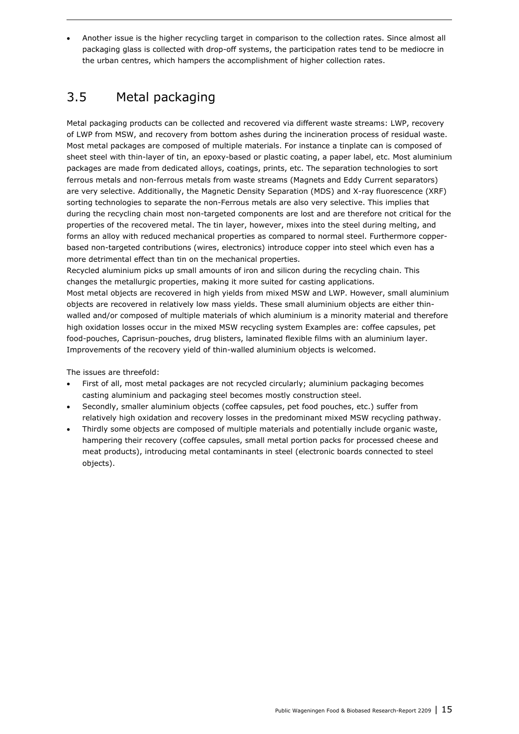Another issue is the higher recycling target in comparison to the collection rates. Since almost all packaging glass is collected with drop-off systems, the participation rates tend to be mediocre in the urban centres, which hampers the accomplishment of higher collection rates.

### 3.5 Metal packaging

Metal packaging products can be collected and recovered via different waste streams: LWP, recovery of LWP from MSW, and recovery from bottom ashes during the incineration process of residual waste. Most metal packages are composed of multiple materials. For instance a tinplate can is composed of sheet steel with thin-layer of tin, an epoxy-based or plastic coating, a paper label, etc. Most aluminium packages are made from dedicated alloys, coatings, prints, etc. The separation technologies to sort ferrous metals and non-ferrous metals from waste streams (Magnets and Eddy Current separators) are very selective. Additionally, the Magnetic Density Separation (MDS) and X-ray fluorescence (XRF) sorting technologies to separate the non-Ferrous metals are also very selective. This implies that during the recycling chain most non-targeted components are lost and are therefore not critical for the properties of the recovered metal. The tin layer, however, mixes into the steel during melting, and forms an alloy with reduced mechanical properties as compared to normal steel. Furthermore copperbased non-targeted contributions (wires, electronics) introduce copper into steel which even has a more detrimental effect than tin on the mechanical properties.

Recycled aluminium picks up small amounts of iron and silicon during the recycling chain. This changes the metallurgic properties, making it more suited for casting applications.

Most metal objects are recovered in high yields from mixed MSW and LWP. However, small aluminium objects are recovered in relatively low mass yields. These small aluminium objects are either thinwalled and/or composed of multiple materials of which aluminium is a minority material and therefore high oxidation losses occur in the mixed MSW recycling system Examples are: coffee capsules, pet food-pouches, Caprisun-pouches, drug blisters, laminated flexible films with an aluminium layer. Improvements of the recovery yield of thin-walled aluminium objects is welcomed.

The issues are threefold:

- First of all, most metal packages are not recycled circularly; aluminium packaging becomes casting aluminium and packaging steel becomes mostly construction steel.
- Secondly, smaller aluminium objects (coffee capsules, pet food pouches, etc.) suffer from relatively high oxidation and recovery losses in the predominant mixed MSW recycling pathway.
- Thirdly some objects are composed of multiple materials and potentially include organic waste, hampering their recovery (coffee capsules, small metal portion packs for processed cheese and meat products), introducing metal contaminants in steel (electronic boards connected to steel objects).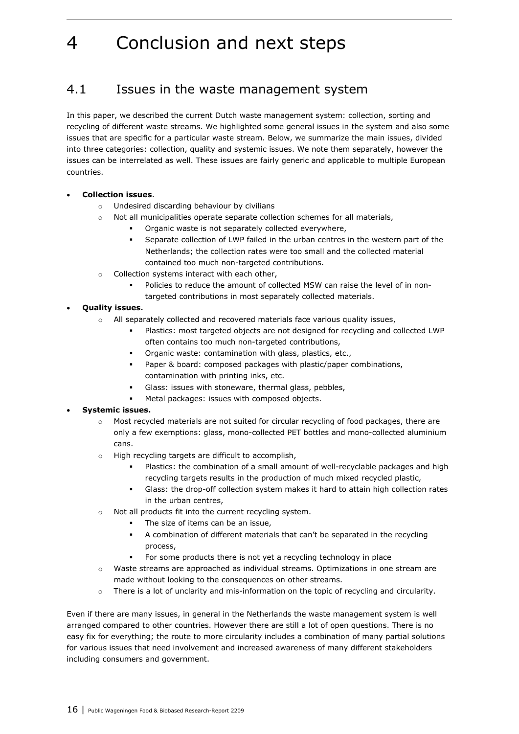## 4 Conclusion and next steps

### 4.1 Issues in the waste management system

In this paper, we described the current Dutch waste management system: collection, sorting and recycling of different waste streams. We highlighted some general issues in the system and also some issues that are specific for a particular waste stream. Below, we summarize the main issues, divided into three categories: collection, quality and systemic issues. We note them separately, however the issues can be interrelated as well. These issues are fairly generic and applicable to multiple European countries.

#### **Collection issues**.

- o Undesired discarding behaviour by civilians
- $\circ$  Not all municipalities operate separate collection schemes for all materials,
	- Organic waste is not separately collected everywhere,
	- Separate collection of LWP failed in the urban centres in the western part of the Netherlands; the collection rates were too small and the collected material contained too much non-targeted contributions.
- o Collection systems interact with each other,
	- Policies to reduce the amount of collected MSW can raise the level of in nontargeted contributions in most separately collected materials.

#### **Quality issues.**

- o All separately collected and recovered materials face various quality issues,
	- Plastics: most targeted objects are not designed for recycling and collected LWP often contains too much non-targeted contributions,
	- Organic waste: contamination with glass, plastics, etc.,
	- Paper & board: composed packages with plastic/paper combinations, contamination with printing inks, etc.
	- Glass: issues with stoneware, thermal glass, pebbles,
	- Metal packages: issues with composed objects.

#### **Systemic issues.**

- o Most recycled materials are not suited for circular recycling of food packages, there are only a few exemptions: glass, mono-collected PET bottles and mono-collected aluminium cans.
- o High recycling targets are difficult to accomplish,
	- Plastics: the combination of a small amount of well-recyclable packages and high recycling targets results in the production of much mixed recycled plastic,
	- Glass: the drop-off collection system makes it hard to attain high collection rates in the urban centres,
- o Not all products fit into the current recycling system.
	- The size of items can be an issue,
	- A combination of different materials that can't be separated in the recycling process,
	- For some products there is not yet a recycling technology in place
- o Waste streams are approached as individual streams. Optimizations in one stream are made without looking to the consequences on other streams.
- o There is a lot of unclarity and mis-information on the topic of recycling and circularity.

Even if there are many issues, in general in the Netherlands the waste management system is well arranged compared to other countries. However there are still a lot of open questions. There is no easy fix for everything; the route to more circularity includes a combination of many partial solutions for various issues that need involvement and increased awareness of many different stakeholders including consumers and government.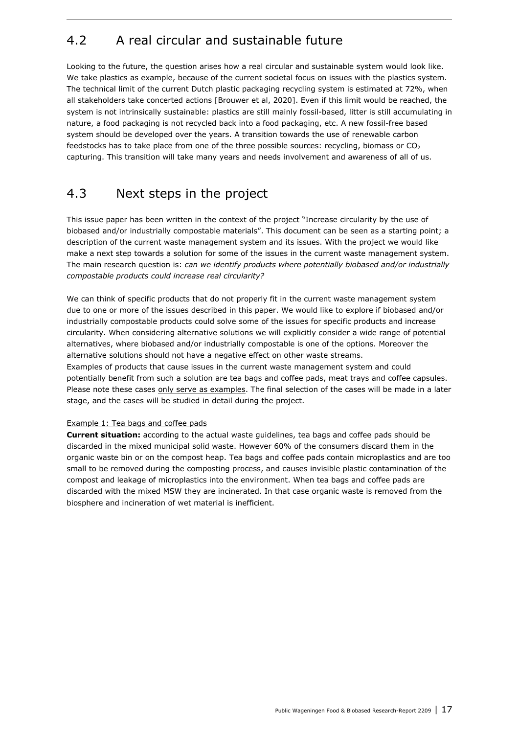### 4.2 A real circular and sustainable future

Looking to the future, the question arises how a real circular and sustainable system would look like. We take plastics as example, because of the current societal focus on issues with the plastics system. The technical limit of the current Dutch plastic packaging recycling system is estimated at 72%, when all stakeholders take concerted actions [Brouwer et al, 2020]. Even if this limit would be reached, the system is not intrinsically sustainable: plastics are still mainly fossil-based, litter is still accumulating in nature, a food packaging is not recycled back into a food packaging, etc. A new fossil-free based system should be developed over the years. A transition towards the use of renewable carbon feedstocks has to take place from one of the three possible sources: recycling, biomass or  $CO<sub>2</sub>$ capturing. This transition will take many years and needs involvement and awareness of all of us.

### 4.3 Next steps in the project

This issue paper has been written in the context of the project "Increase circularity by the use of biobased and/or industrially compostable materials". This document can be seen as a starting point; a description of the current waste management system and its issues. With the project we would like make a next step towards a solution for some of the issues in the current waste management system. The main research question is: *can we identify products where potentially biobased and/or industrially compostable products could increase real circularity?*

We can think of specific products that do not properly fit in the current waste management system due to one or more of the issues described in this paper. We would like to explore if biobased and/or industrially compostable products could solve some of the issues for specific products and increase circularity. When considering alternative solutions we will explicitly consider a wide range of potential alternatives, where biobased and/or industrially compostable is one of the options. Moreover the alternative solutions should not have a negative effect on other waste streams.

Examples of products that cause issues in the current waste management system and could potentially benefit from such a solution are tea bags and coffee pads, meat trays and coffee capsules. Please note these cases only serve as examples. The final selection of the cases will be made in a later stage, and the cases will be studied in detail during the project.

#### Example 1: Tea bags and coffee pads

**Current situation:** according to the actual waste guidelines, tea bags and coffee pads should be discarded in the mixed municipal solid waste. However 60% of the consumers discard them in the organic waste bin or on the compost heap. Tea bags and coffee pads contain microplastics and are too small to be removed during the composting process, and causes invisible plastic contamination of the compost and leakage of microplastics into the environment. When tea bags and coffee pads are discarded with the mixed MSW they are incinerated. In that case organic waste is removed from the biosphere and incineration of wet material is inefficient.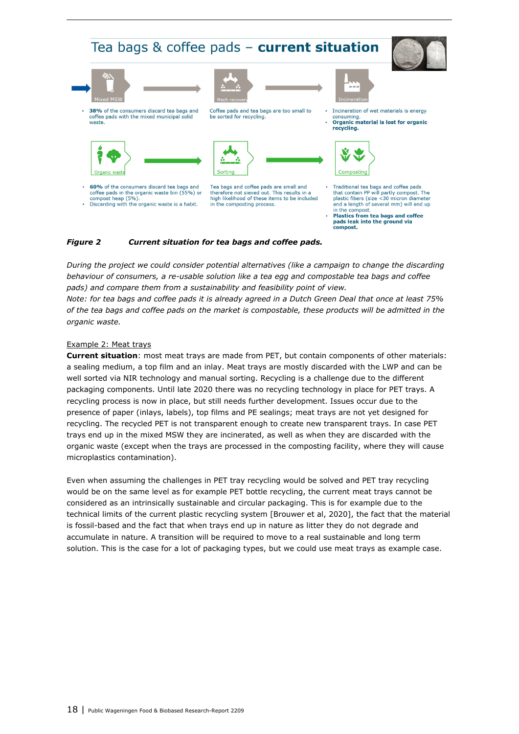

#### *Figure 2 Current situation for tea bags and coffee pads.*

*During the project we could consider potential alternatives (like a campaign to change the discarding behaviour of consumers, a re-usable solution like a tea egg and compostable tea bags and coffee pads) and compare them from a sustainability and feasibility point of view.* 

*Note: for tea bags and coffee pads it is already agreed in a Dutch Green Deal that once at least 75% of the tea bags and coffee pads on the market is compostable, these products will be admitted in the organic waste.* 

#### Example 2: Meat trays

**Current situation**: most meat trays are made from PET, but contain components of other materials: a sealing medium, a top film and an inlay. Meat trays are mostly discarded with the LWP and can be well sorted via NIR technology and manual sorting. Recycling is a challenge due to the different packaging components. Until late 2020 there was no recycling technology in place for PET trays. A recycling process is now in place, but still needs further development. Issues occur due to the presence of paper (inlays, labels), top films and PE sealings; meat trays are not yet designed for recycling. The recycled PET is not transparent enough to create new transparent trays. In case PET trays end up in the mixed MSW they are incinerated, as well as when they are discarded with the organic waste (except when the trays are processed in the composting facility, where they will cause microplastics contamination).

Even when assuming the challenges in PET tray recycling would be solved and PET tray recycling would be on the same level as for example PET bottle recycling, the current meat trays cannot be considered as an intrinsically sustainable and circular packaging. This is for example due to the technical limits of the current plastic recycling system [Brouwer et al, 2020], the fact that the material is fossil-based and the fact that when trays end up in nature as litter they do not degrade and accumulate in nature. A transition will be required to move to a real sustainable and long term solution. This is the case for a lot of packaging types, but we could use meat trays as example case.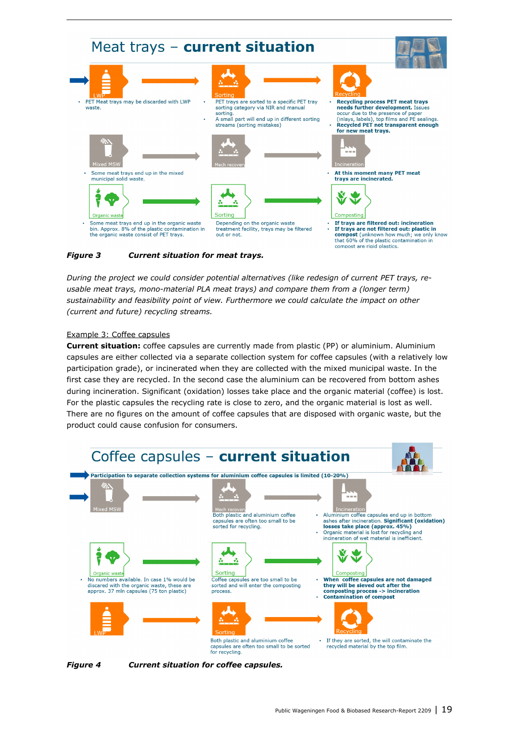

#### *Figure 3 Current situation for meat trays.*

*During the project we could consider potential alternatives (like redesign of current PET trays, reusable meat trays, mono-material PLA meat trays) and compare them from a (longer term) sustainability and feasibility point of view. Furthermore we could calculate the impact on other (current and future) recycling streams.* 

#### Example 3: Coffee capsules

**Current situation:** coffee capsules are currently made from plastic (PP) or aluminium. Aluminium capsules are either collected via a separate collection system for coffee capsules (with a relatively low participation grade), or incinerated when they are collected with the mixed municipal waste. In the first case they are recycled. In the second case the aluminium can be recovered from bottom ashes during incineration. Significant (oxidation) losses take place and the organic material (coffee) is lost. For the plastic capsules the recycling rate is close to zero, and the organic material is lost as well. There are no figures on the amount of coffee capsules that are disposed with organic waste, but the product could cause confusion for consumers.



*Figure 4 Current situation for coffee capsules.*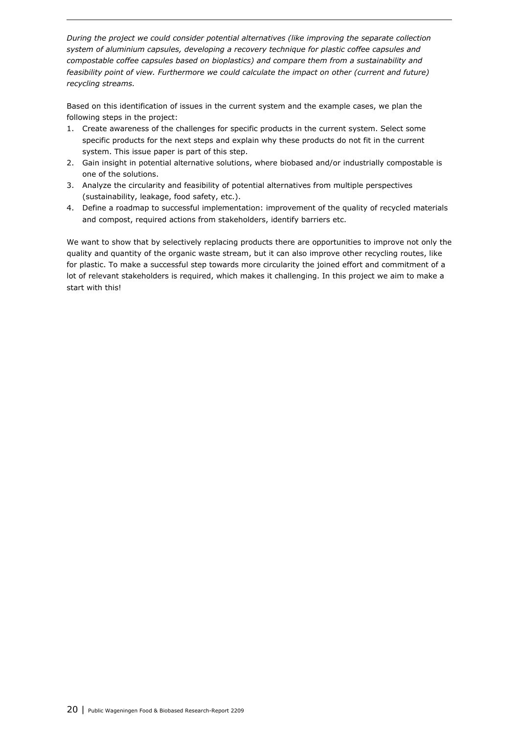*During the project we could consider potential alternatives (like improving the separate collection system of aluminium capsules, developing a recovery technique for plastic coffee capsules and compostable coffee capsules based on bioplastics) and compare them from a sustainability and feasibility point of view. Furthermore we could calculate the impact on other (current and future) recycling streams.* 

Based on this identification of issues in the current system and the example cases, we plan the following steps in the project:

- 1. Create awareness of the challenges for specific products in the current system. Select some specific products for the next steps and explain why these products do not fit in the current system. This issue paper is part of this step.
- 2. Gain insight in potential alternative solutions, where biobased and/or industrially compostable is one of the solutions.
- 3. Analyze the circularity and feasibility of potential alternatives from multiple perspectives (sustainability, leakage, food safety, etc.).
- 4. Define a roadmap to successful implementation: improvement of the quality of recycled materials and compost, required actions from stakeholders, identify barriers etc.

We want to show that by selectively replacing products there are opportunities to improve not only the quality and quantity of the organic waste stream, but it can also improve other recycling routes, like for plastic. To make a successful step towards more circularity the joined effort and commitment of a lot of relevant stakeholders is required, which makes it challenging. In this project we aim to make a start with this!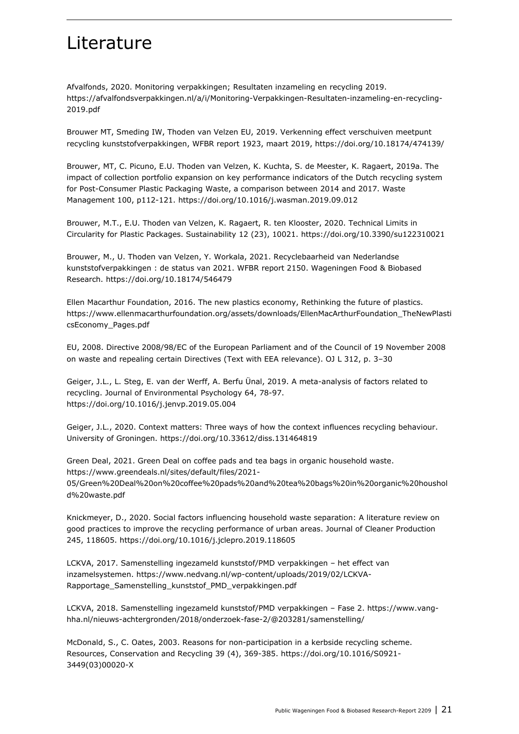## Literature

Afvalfonds, 2020. Monitoring verpakkingen; Resultaten inzameling en recycling 2019. https://afvalfondsverpakkingen.nl/a/i/Monitoring-Verpakkingen-Resultaten-inzameling-en-recycling-2019.pdf

Brouwer MT, Smeding IW, Thoden van Velzen EU, 2019. Verkenning effect verschuiven meetpunt recycling kunststofverpakkingen, WFBR report 1923, maart 2019, https://doi.org/10.18174/474139/

Brouwer, MT, C. Picuno, E.U. Thoden van Velzen, K. Kuchta, S. de Meester, K. Ragaert, 2019a. The impact of collection portfolio expansion on key performance indicators of the Dutch recycling system for Post-Consumer Plastic Packaging Waste, a comparison between 2014 and 2017. Waste Management 100, p112-121. https://doi.org/10.1016/j.wasman.2019.09.012

Brouwer, M.T., E.U. Thoden van Velzen, K. Ragaert, R. ten Klooster, 2020. Technical Limits in Circularity for Plastic Packages. Sustainability 12 (23), 10021. https://doi.org/10.3390/su122310021

Brouwer, M., U. Thoden van Velzen, Y. Workala, 2021. Recyclebaarheid van Nederlandse kunststofverpakkingen : de status van 2021. WFBR report 2150. Wageningen Food & Biobased Research. https://doi.org/10.18174/546479

Ellen Macarthur Foundation, 2016. The new plastics economy, Rethinking the future of plastics. https://www.ellenmacarthurfoundation.org/assets/downloads/EllenMacArthurFoundation\_TheNewPlasti csEconomy\_Pages.pdf

EU, 2008. Directive 2008/98/EC of the European Parliament and of the Council of 19 November 2008 on waste and repealing certain Directives (Text with EEA relevance). OJ L 312, p. 3–30

Geiger, J.L., L. Steg, E. van der Werff, A. Berfu Ünal, 2019. A meta-analysis of factors related to recycling. Journal of Environmental Psychology 64, 78-97. https://doi.org/10.1016/j.jenvp.2019.05.004

Geiger, J.L., 2020. Context matters: Three ways of how the context influences recycling behaviour. University of Groningen. https://doi.org/10.33612/diss.131464819

Green Deal, 2021. Green Deal on coffee pads and tea bags in organic household waste. https://www.greendeals.nl/sites/default/files/2021- 05/Green%20Deal%20on%20coffee%20pads%20and%20tea%20bags%20in%20organic%20houshol d%20waste.pdf

Knickmeyer, D., 2020. Social factors influencing household waste separation: A literature review on good practices to improve the recycling performance of urban areas. Journal of Cleaner Production 245, 118605. https://doi.org/10.1016/j.jclepro.2019.118605

LCKVA, 2017. Samenstelling ingezameld kunststof/PMD verpakkingen – het effect van inzamelsystemen. https://www.nedvang.nl/wp-content/uploads/2019/02/LCKVA-Rapportage\_Samenstelling\_kunststof\_PMD\_verpakkingen.pdf

LCKVA, 2018. Samenstelling ingezameld kunststof/PMD verpakkingen – Fase 2. https://www.vanghha.nl/nieuws-achtergronden/2018/onderzoek-fase-2/@203281/samenstelling/

McDonald, S., C. Oates, 2003. Reasons for non-participation in a kerbside recycling scheme. Resources, Conservation and Recycling 39 (4), 369-385. https://doi.org/10.1016/S0921- 3449(03)00020-X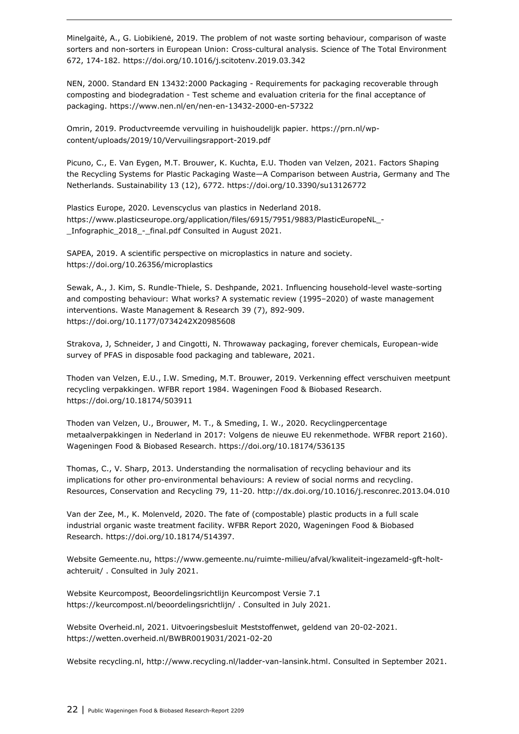Minelgaitė, A., G. Liobikienė, 2019. The problem of not waste sorting behaviour, comparison of waste sorters and non-sorters in European Union: Cross-cultural analysis. Science of The Total Environment 672, 174-182. https://doi.org/10.1016/j.scitotenv.2019.03.342

NEN, 2000. Standard EN 13432:2000 Packaging - Requirements for packaging recoverable through composting and biodegradation - Test scheme and evaluation criteria for the final acceptance of packaging. https://www.nen.nl/en/nen-en-13432-2000-en-57322

Omrin, 2019. Productvreemde vervuiling in huishoudelijk papier. https://prn.nl/wpcontent/uploads/2019/10/Vervuilingsrapport-2019.pdf

Picuno, C., E. Van Eygen, M.T. Brouwer, K. Kuchta, E.U. Thoden van Velzen, 2021. Factors Shaping the Recycling Systems for Plastic Packaging Waste—A Comparison between Austria, Germany and The Netherlands. Sustainability 13 (12), 6772. https://doi.org/10.3390/su13126772

Plastics Europe, 2020. Levenscyclus van plastics in Nederland 2018. https://www.plasticseurope.org/application/files/6915/7951/9883/PlasticEuropeNL\_- \_Infographic\_2018\_-\_final.pdf Consulted in August 2021.

SAPEA, 2019. A scientific perspective on microplastics in nature and society. https://doi.org/10.26356/microplastics

Sewak, A., J. Kim, S. Rundle-Thiele, S. Deshpande, 2021. Influencing household-level waste-sorting and composting behaviour: What works? A systematic review (1995–2020) of waste management interventions. Waste Management & Research 39 (7), 892-909. https://doi.org/10.1177/0734242X20985608

Strakova, J, Schneider, J and Cingotti, N. Throwaway packaging, forever chemicals, European-wide survey of PFAS in disposable food packaging and tableware, 2021.

Thoden van Velzen, E.U., I.W. Smeding, M.T. Brouwer, 2019. Verkenning effect verschuiven meetpunt recycling verpakkingen. WFBR report 1984. Wageningen Food & Biobased Research. https://doi.org/10.18174/503911

Thoden van Velzen, U., Brouwer, M. T., & Smeding, I. W., 2020. Recyclingpercentage metaalverpakkingen in Nederland in 2017: Volgens de nieuwe EU rekenmethode. WFBR report 2160). Wageningen Food & Biobased Research. https://doi.org/10.18174/536135

Thomas, C., V. Sharp, 2013. Understanding the normalisation of recycling behaviour and its implications for other pro-environmental behaviours: A review of social norms and recycling. Resources, Conservation and Recycling 79, 11-20. http://dx.doi.org/10.1016/j.resconrec.2013.04.010

Van der Zee, M., K. Molenveld, 2020. The fate of (compostable) plastic products in a full scale industrial organic waste treatment facility. WFBR Report 2020, Wageningen Food & Biobased Research. https://doi.org/10.18174/514397.

Website Gemeente.nu, https://www.gemeente.nu/ruimte-milieu/afval/kwaliteit-ingezameld-gft-holtachteruit/ . Consulted in July 2021.

Website Keurcompost, Beoordelingsrichtlijn Keurcompost Versie 7.1 https://keurcompost.nl/beoordelingsrichtlijn/ . Consulted in July 2021.

Website Overheid.nl, 2021. Uitvoeringsbesluit Meststoffenwet, geldend van 20-02-2021. https://wetten.overheid.nl/BWBR0019031/2021-02-20

Website recycling.nl, http://www.recycling.nl/ladder-van-lansink.html. Consulted in September 2021.